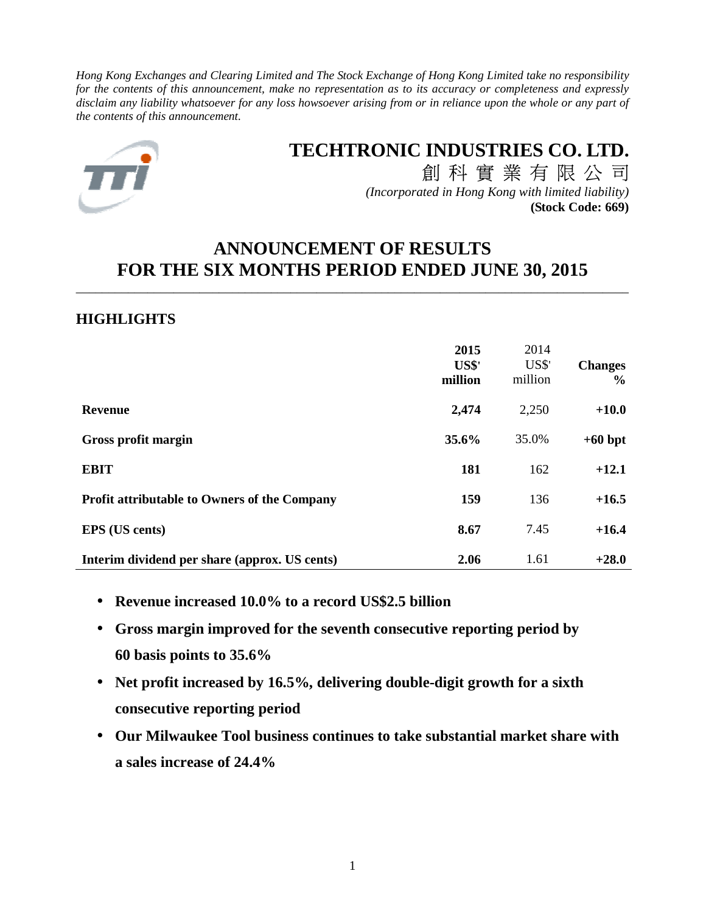*Hong Kong Exchanges and Clearing Limited and The Stock Exchange of Hong Kong Limited take no responsibility for the contents of this announcement, make no representation as to its accuracy or completeness and expressly disclaim any liability whatsoever for any loss howsoever arising from or in reliance upon the whole or any part of the contents of this announcement.* 



# **TECHTRONIC INDUSTRIES CO. LTD.** 創 科 實 業 有 限 公 司

*(Incorporated in Hong Kong with limited liability)* **(Stock Code: 669)**

# **ANNOUNCEMENT OF RESULTS FOR THE SIX MONTHS PERIOD ENDED JUNE 30, 2015**

\_\_\_\_\_\_\_\_\_\_\_\_\_\_\_\_\_\_\_\_\_\_\_\_\_\_\_\_\_\_\_\_\_\_\_\_\_\_\_\_\_\_\_\_\_\_\_\_\_\_\_\_\_\_\_\_\_\_\_\_\_\_\_\_\_\_\_\_\_\_\_\_\_\_\_\_\_\_\_\_\_\_\_\_\_

# **HIGHLIGHTS**

|                                                     | 2015<br>US\$'<br>million | 2014<br>US\$'<br>million | <b>Changes</b><br>$\frac{6}{9}$ |
|-----------------------------------------------------|--------------------------|--------------------------|---------------------------------|
| <b>Revenue</b>                                      | 2,474                    | 2,250                    | $+10.0$                         |
| Gross profit margin                                 | 35.6%                    | 35.0%                    | $+60$ bpt                       |
| <b>EBIT</b>                                         | 181                      | 162                      | $+12.1$                         |
| <b>Profit attributable to Owners of the Company</b> | 159                      | 136                      | $+16.5$                         |
| <b>EPS</b> (US cents)                               | 8.67                     | 7.45                     | $+16.4$                         |
| Interim dividend per share (approx. US cents)       | 2.06                     | 1.61                     | $+28.0$                         |

- **Revenue increased 10.0% to a record US\$2.5 billion**
- **Gross margin improved for the seventh consecutive reporting period by 60 basis points to 35.6%**
- **Net profit increased by 16.5%, delivering double-digit growth for a sixth consecutive reporting period**
- **Our Milwaukee Tool business continues to take substantial market share with a sales increase of 24.4%**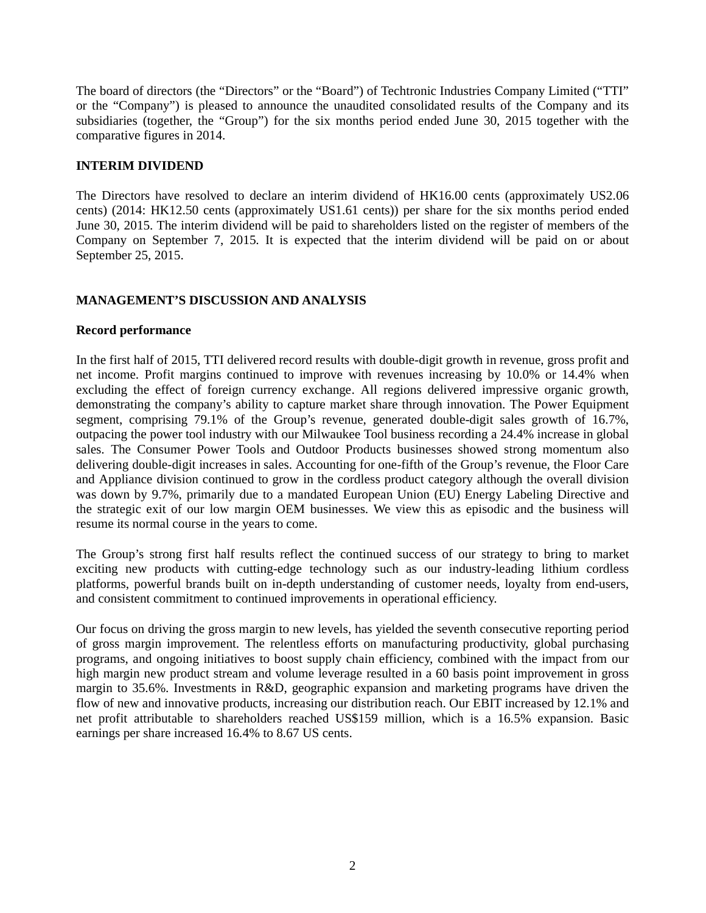The board of directors (the "Directors" or the "Board") of Techtronic Industries Company Limited ("TTI" or the "Company") is pleased to announce the unaudited consolidated results of the Company and its subsidiaries (together, the "Group") for the six months period ended June 30, 2015 together with the comparative figures in 2014.

# **INTERIM DIVIDEND**

The Directors have resolved to declare an interim dividend of HK16.00 cents (approximately US2.06 cents) (2014: HK12.50 cents (approximately US1.61 cents)) per share for the six months period ended June 30, 2015. The interim dividend will be paid to shareholders listed on the register of members of the Company on September 7, 2015. It is expected that the interim dividend will be paid on or about September 25, 2015.

# **MANAGEMENT'S DISCUSSION AND ANALYSIS**

## **Record performance**

In the first half of 2015, TTI delivered record results with double-digit growth in revenue, gross profit and net income. Profit margins continued to improve with revenues increasing by 10.0% or 14.4% when excluding the effect of foreign currency exchange. All regions delivered impressive organic growth, demonstrating the company's ability to capture market share through innovation. The Power Equipment segment, comprising 79.1% of the Group's revenue, generated double-digit sales growth of 16.7%, outpacing the power tool industry with our Milwaukee Tool business recording a 24.4% increase in global sales. The Consumer Power Tools and Outdoor Products businesses showed strong momentum also delivering double-digit increases in sales. Accounting for one-fifth of the Group's revenue, the Floor Care and Appliance division continued to grow in the cordless product category although the overall division was down by 9.7%, primarily due to a mandated European Union (EU) Energy Labeling Directive and the strategic exit of our low margin OEM businesses. We view this as episodic and the business will resume its normal course in the years to come.

The Group's strong first half results reflect the continued success of our strategy to bring to market exciting new products with cutting-edge technology such as our industry-leading lithium cordless platforms, powerful brands built on in-depth understanding of customer needs, loyalty from end-users, and consistent commitment to continued improvements in operational efficiency.

Our focus on driving the gross margin to new levels, has yielded the seventh consecutive reporting period of gross margin improvement. The relentless efforts on manufacturing productivity, global purchasing programs, and ongoing initiatives to boost supply chain efficiency, combined with the impact from our high margin new product stream and volume leverage resulted in a 60 basis point improvement in gross margin to 35.6%. Investments in R&D, geographic expansion and marketing programs have driven the flow of new and innovative products, increasing our distribution reach. Our EBIT increased by 12.1% and net profit attributable to shareholders reached US\$159 million, which is a 16.5% expansion. Basic earnings per share increased 16.4% to 8.67 US cents.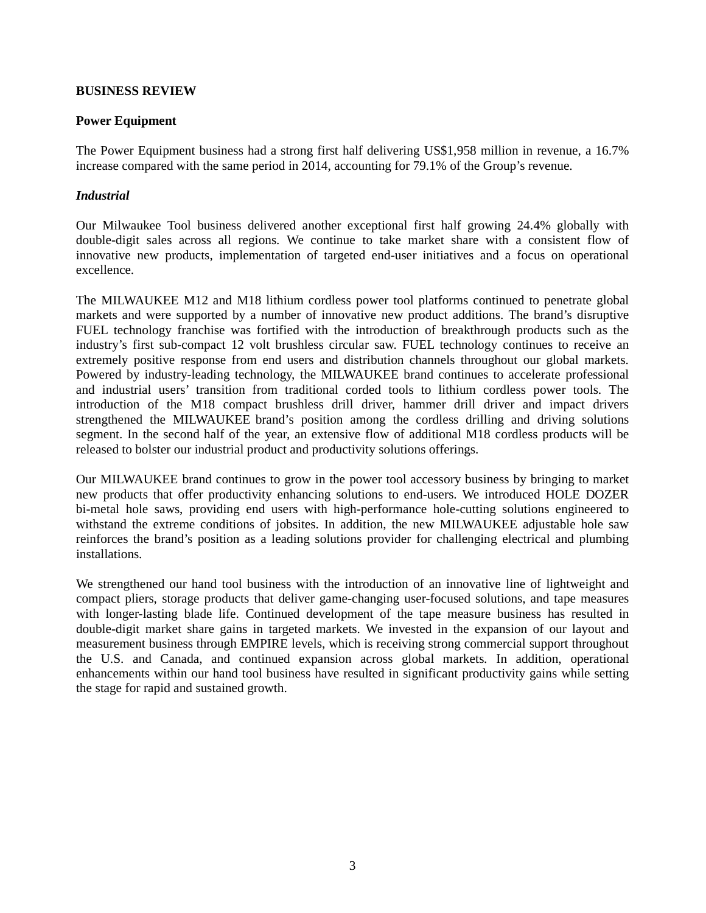## **BUSINESS REVIEW**

#### **Power Equipment**

The Power Equipment business had a strong first half delivering US\$1,958 million in revenue, a 16.7% increase compared with the same period in 2014, accounting for 79.1% of the Group's revenue.

## *Industrial*

Our Milwaukee Tool business delivered another exceptional first half growing 24.4% globally with double-digit sales across all regions. We continue to take market share with a consistent flow of innovative new products, implementation of targeted end-user initiatives and a focus on operational excellence.

The MILWAUKEE M12 and M18 lithium cordless power tool platforms continued to penetrate global markets and were supported by a number of innovative new product additions. The brand's disruptive FUEL technology franchise was fortified with the introduction of breakthrough products such as the industry's first sub-compact 12 volt brushless circular saw. FUEL technology continues to receive an extremely positive response from end users and distribution channels throughout our global markets. Powered by industry-leading technology, the MILWAUKEE brand continues to accelerate professional and industrial users' transition from traditional corded tools to lithium cordless power tools. The introduction of the M18 compact brushless drill driver, hammer drill driver and impact drivers strengthened the MILWAUKEE brand's position among the cordless drilling and driving solutions segment. In the second half of the year, an extensive flow of additional M18 cordless products will be released to bolster our industrial product and productivity solutions offerings.

Our MILWAUKEE brand continues to grow in the power tool accessory business by bringing to market new products that offer productivity enhancing solutions to end-users. We introduced HOLE DOZER bi-metal hole saws, providing end users with high-performance hole-cutting solutions engineered to withstand the extreme conditions of jobsites. In addition, the new MILWAUKEE adjustable hole saw reinforces the brand's position as a leading solutions provider for challenging electrical and plumbing installations.

We strengthened our hand tool business with the introduction of an innovative line of lightweight and compact pliers, storage products that deliver game-changing user-focused solutions, and tape measures with longer-lasting blade life. Continued development of the tape measure business has resulted in double-digit market share gains in targeted markets. We invested in the expansion of our layout and measurement business through EMPIRE levels, which is receiving strong commercial support throughout the U.S. and Canada, and continued expansion across global markets. In addition, operational enhancements within our hand tool business have resulted in significant productivity gains while setting the stage for rapid and sustained growth.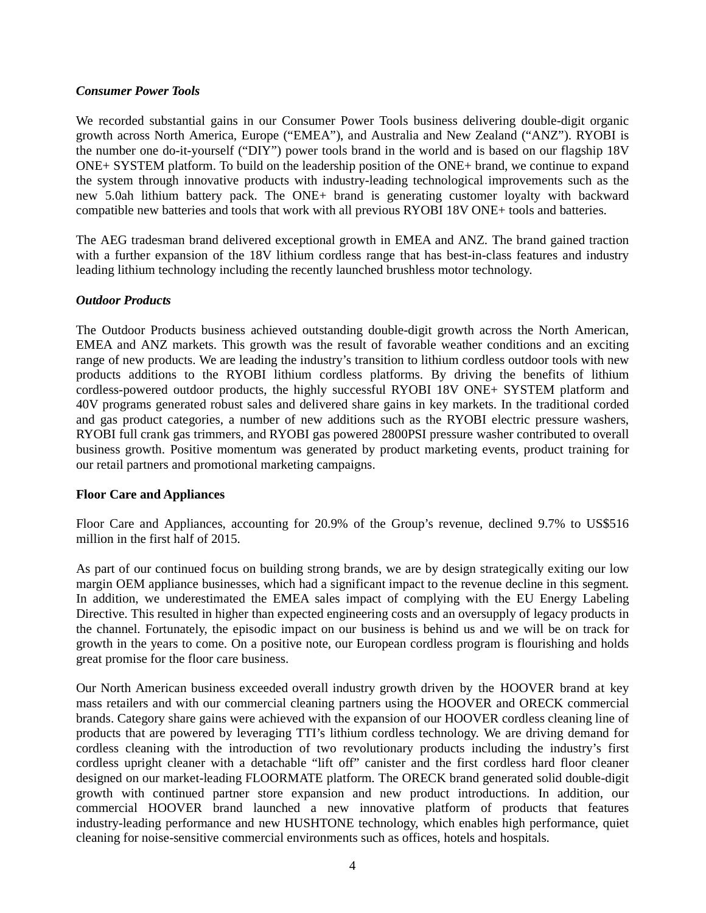## *Consumer Power Tools*

We recorded substantial gains in our Consumer Power Tools business delivering double-digit organic growth across North America, Europe ("EMEA"), and Australia and New Zealand ("ANZ"). RYOBI is the number one do-it-yourself ("DIY") power tools brand in the world and is based on our flagship 18V ONE+ SYSTEM platform. To build on the leadership position of the ONE+ brand, we continue to expand the system through innovative products with industry-leading technological improvements such as the new 5.0ah lithium battery pack. The ONE+ brand is generating customer loyalty with backward compatible new batteries and tools that work with all previous RYOBI 18V ONE+ tools and batteries.

The AEG tradesman brand delivered exceptional growth in EMEA and ANZ. The brand gained traction with a further expansion of the 18V lithium cordless range that has best-in-class features and industry leading lithium technology including the recently launched brushless motor technology.

## *Outdoor Products*

The Outdoor Products business achieved outstanding double-digit growth across the North American, EMEA and ANZ markets. This growth was the result of favorable weather conditions and an exciting range of new products. We are leading the industry's transition to lithium cordless outdoor tools with new products additions to the RYOBI lithium cordless platforms. By driving the benefits of lithium cordless-powered outdoor products, the highly successful RYOBI 18V ONE+ SYSTEM platform and 40V programs generated robust sales and delivered share gains in key markets. In the traditional corded and gas product categories, a number of new additions such as the RYOBI electric pressure washers, RYOBI full crank gas trimmers, and RYOBI gas powered 2800PSI pressure washer contributed to overall business growth. Positive momentum was generated by product marketing events, product training for our retail partners and promotional marketing campaigns.

# **Floor Care and Appliances**

Floor Care and Appliances, accounting for 20.9% of the Group's revenue, declined 9.7% to US\$516 million in the first half of 2015.

As part of our continued focus on building strong brands, we are by design strategically exiting our low margin OEM appliance businesses, which had a significant impact to the revenue decline in this segment. In addition, we underestimated the EMEA sales impact of complying with the EU Energy Labeling Directive. This resulted in higher than expected engineering costs and an oversupply of legacy products in the channel. Fortunately, the episodic impact on our business is behind us and we will be on track for growth in the years to come. On a positive note, our European cordless program is flourishing and holds great promise for the floor care business.

Our North American business exceeded overall industry growth driven by the HOOVER brand at key mass retailers and with our commercial cleaning partners using the HOOVER and ORECK commercial brands. Category share gains were achieved with the expansion of our HOOVER cordless cleaning line of products that are powered by leveraging TTI's lithium cordless technology. We are driving demand for cordless cleaning with the introduction of two revolutionary products including the industry's first cordless upright cleaner with a detachable "lift off" canister and the first cordless hard floor cleaner designed on our market-leading FLOORMATE platform. The ORECK brand generated solid double-digit growth with continued partner store expansion and new product introductions. In addition, our commercial HOOVER brand launched a new innovative platform of products that features industry-leading performance and new HUSHTONE technology, which enables high performance, quiet cleaning for noise-sensitive commercial environments such as offices, hotels and hospitals.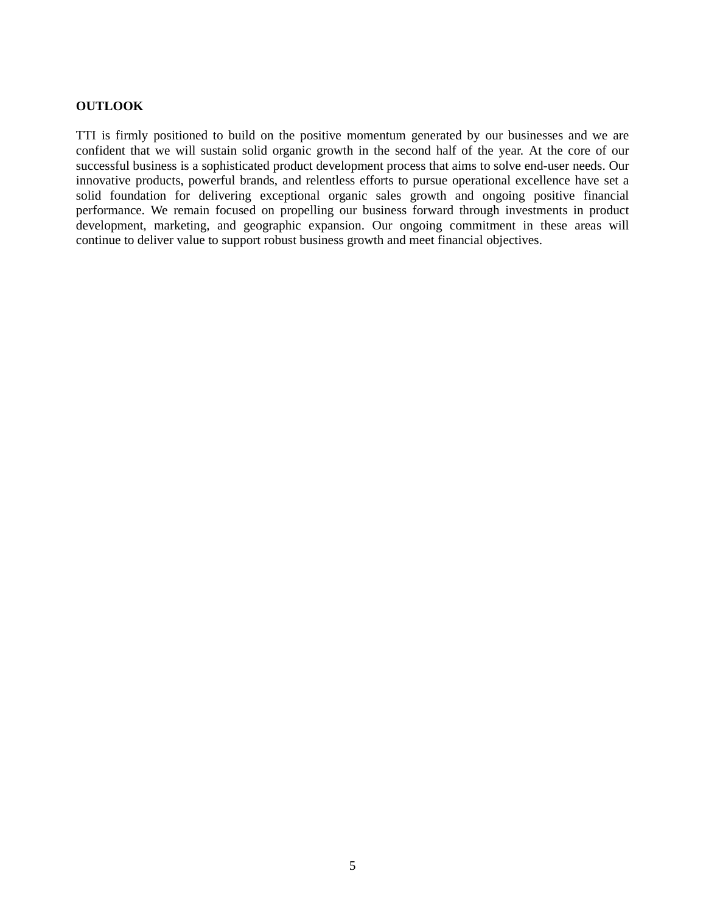#### **OUTLOOK**

TTI is firmly positioned to build on the positive momentum generated by our businesses and we are confident that we will sustain solid organic growth in the second half of the year. At the core of our successful business is a sophisticated product development process that aims to solve end-user needs. Our innovative products, powerful brands, and relentless efforts to pursue operational excellence have set a solid foundation for delivering exceptional organic sales growth and ongoing positive financial performance. We remain focused on propelling our business forward through investments in product development, marketing, and geographic expansion. Our ongoing commitment in these areas will continue to deliver value to support robust business growth and meet financial objectives.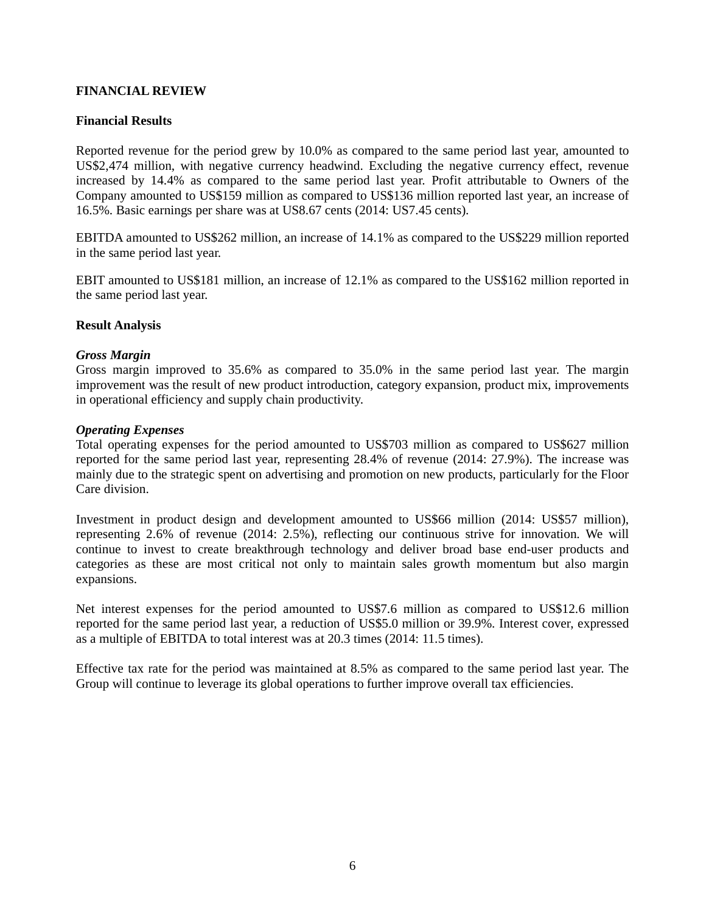## **FINANCIAL REVIEW**

## **Financial Results**

Reported revenue for the period grew by 10.0% as compared to the same period last year, amounted to US\$2,474 million, with negative currency headwind. Excluding the negative currency effect, revenue increased by 14.4% as compared to the same period last year. Profit attributable to Owners of the Company amounted to US\$159 million as compared to US\$136 million reported last year, an increase of 16.5%. Basic earnings per share was at US8.67 cents (2014: US7.45 cents).

EBITDA amounted to US\$262 million, an increase of 14.1% as compared to the US\$229 million reported in the same period last year.

EBIT amounted to US\$181 million, an increase of 12.1% as compared to the US\$162 million reported in the same period last year.

## **Result Analysis**

#### *Gross Margin*

Gross margin improved to 35.6% as compared to 35.0% in the same period last year. The margin improvement was the result of new product introduction, category expansion, product mix, improvements in operational efficiency and supply chain productivity.

#### *Operating Expenses*

Total operating expenses for the period amounted to US\$703 million as compared to US\$627 million reported for the same period last year, representing 28.4% of revenue (2014: 27.9%). The increase was mainly due to the strategic spent on advertising and promotion on new products, particularly for the Floor Care division.

Investment in product design and development amounted to US\$66 million (2014: US\$57 million), representing 2.6% of revenue (2014: 2.5%), reflecting our continuous strive for innovation. We will continue to invest to create breakthrough technology and deliver broad base end-user products and categories as these are most critical not only to maintain sales growth momentum but also margin expansions.

Net interest expenses for the period amounted to US\$7.6 million as compared to US\$12.6 million reported for the same period last year, a reduction of US\$5.0 million or 39.9%. Interest cover, expressed as a multiple of EBITDA to total interest was at 20.3 times (2014: 11.5 times).

Effective tax rate for the period was maintained at 8.5% as compared to the same period last year. The Group will continue to leverage its global operations to further improve overall tax efficiencies.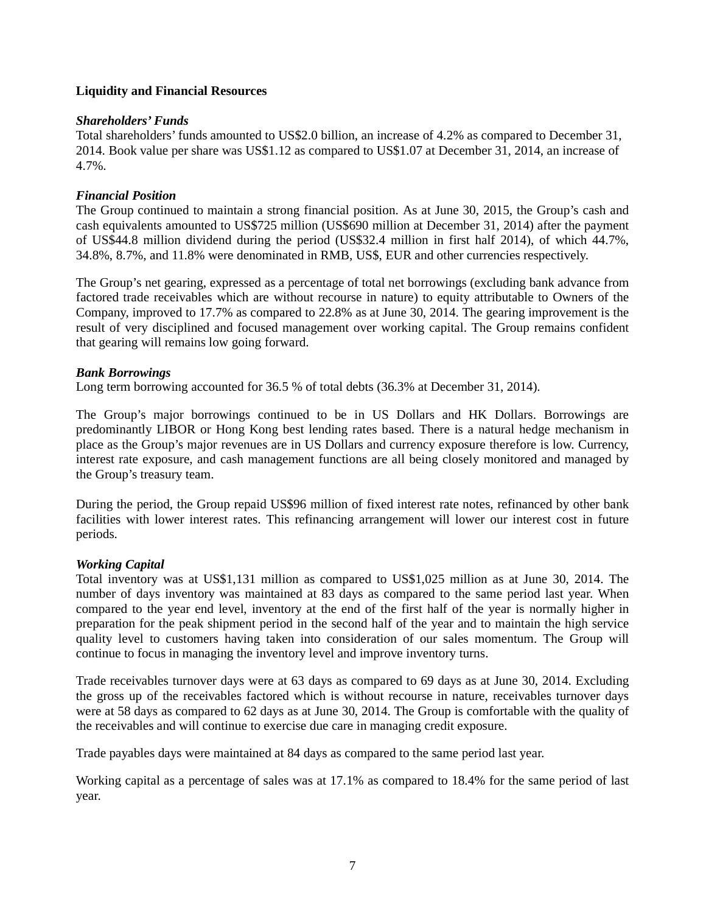## **Liquidity and Financial Resources**

## *Shareholders' Funds*

Total shareholders' funds amounted to US\$2.0 billion, an increase of 4.2% as compared to December 31, 2014. Book value per share was US\$1.12 as compared to US\$1.07 at December 31, 2014, an increase of 4.7%.

# *Financial Position*

The Group continued to maintain a strong financial position. As at June 30, 2015, the Group's cash and cash equivalents amounted to US\$725 million (US\$690 million at December 31, 2014) after the payment of US\$44.8 million dividend during the period (US\$32.4 million in first half 2014), of which 44.7%, 34.8%, 8.7%, and 11.8% were denominated in RMB, US\$, EUR and other currencies respectively.

The Group's net gearing, expressed as a percentage of total net borrowings (excluding bank advance from factored trade receivables which are without recourse in nature) to equity attributable to Owners of the Company, improved to 17.7% as compared to 22.8% as at June 30, 2014. The gearing improvement is the result of very disciplined and focused management over working capital. The Group remains confident that gearing will remains low going forward.

## *Bank Borrowings*

Long term borrowing accounted for 36.5 % of total debts (36.3% at December 31, 2014).

The Group's major borrowings continued to be in US Dollars and HK Dollars. Borrowings are predominantly LIBOR or Hong Kong best lending rates based. There is a natural hedge mechanism in place as the Group's major revenues are in US Dollars and currency exposure therefore is low. Currency, interest rate exposure, and cash management functions are all being closely monitored and managed by the Group's treasury team.

During the period, the Group repaid US\$96 million of fixed interest rate notes, refinanced by other bank facilities with lower interest rates. This refinancing arrangement will lower our interest cost in future periods.

# *Working Capital*

Total inventory was at US\$1,131 million as compared to US\$1,025 million as at June 30, 2014. The number of days inventory was maintained at 83 days as compared to the same period last year. When compared to the year end level, inventory at the end of the first half of the year is normally higher in preparation for the peak shipment period in the second half of the year and to maintain the high service quality level to customers having taken into consideration of our sales momentum. The Group will continue to focus in managing the inventory level and improve inventory turns.

Trade receivables turnover days were at 63 days as compared to 69 days as at June 30, 2014. Excluding the gross up of the receivables factored which is without recourse in nature, receivables turnover days were at 58 days as compared to 62 days as at June 30, 2014. The Group is comfortable with the quality of the receivables and will continue to exercise due care in managing credit exposure.

Trade payables days were maintained at 84 days as compared to the same period last year.

Working capital as a percentage of sales was at 17.1% as compared to 18.4% for the same period of last year.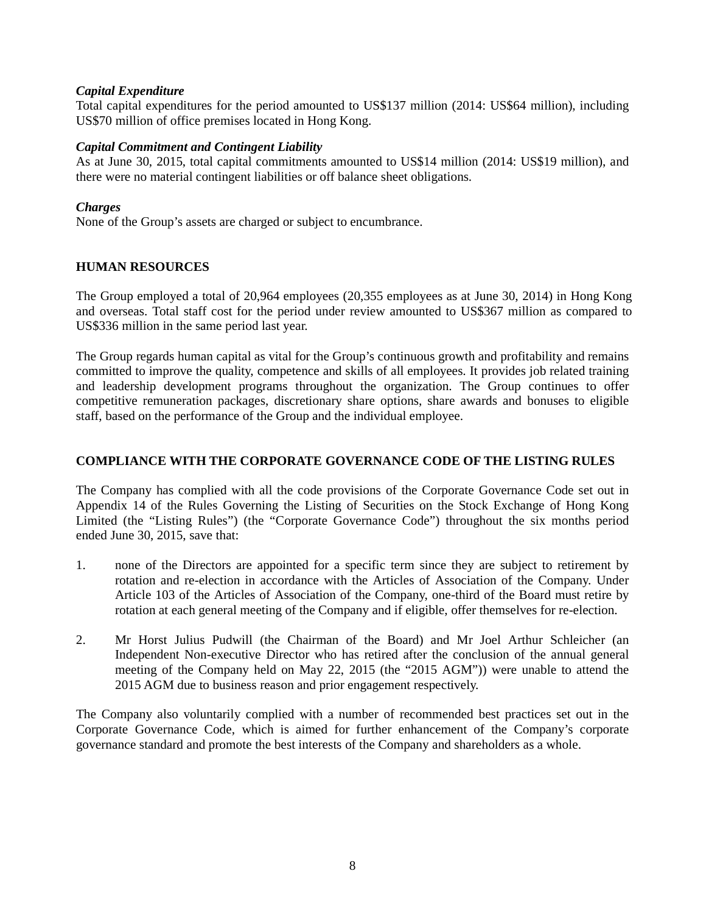## *Capital Expenditure*

Total capital expenditures for the period amounted to US\$137 million (2014: US\$64 million), including US\$70 million of office premises located in Hong Kong.

## *Capital Commitment and Contingent Liability*

As at June 30, 2015, total capital commitments amounted to US\$14 million (2014: US\$19 million), and there were no material contingent liabilities or off balance sheet obligations.

# *Charges*

None of the Group's assets are charged or subject to encumbrance.

# **HUMAN RESOURCES**

The Group employed a total of 20,964 employees (20,355 employees as at June 30, 2014) in Hong Kong and overseas. Total staff cost for the period under review amounted to US\$367 million as compared to US\$336 million in the same period last year.

The Group regards human capital as vital for the Group's continuous growth and profitability and remains committed to improve the quality, competence and skills of all employees. It provides job related training and leadership development programs throughout the organization. The Group continues to offer competitive remuneration packages, discretionary share options, share awards and bonuses to eligible staff, based on the performance of the Group and the individual employee.

# **COMPLIANCE WITH THE CORPORATE GOVERNANCE CODE OF THE LISTING RULES**

The Company has complied with all the code provisions of the Corporate Governance Code set out in Appendix 14 of the Rules Governing the Listing of Securities on the Stock Exchange of Hong Kong Limited (the "Listing Rules") (the "Corporate Governance Code") throughout the six months period ended June 30, 2015, save that:

- 1. none of the Directors are appointed for a specific term since they are subject to retirement by rotation and re-election in accordance with the Articles of Association of the Company. Under Article 103 of the Articles of Association of the Company, one-third of the Board must retire by rotation at each general meeting of the Company and if eligible, offer themselves for re-election.
- 2. Mr Horst Julius Pudwill (the Chairman of the Board) and Mr Joel Arthur Schleicher (an Independent Non-executive Director who has retired after the conclusion of the annual general meeting of the Company held on May 22, 2015 (the "2015 AGM")) were unable to attend the 2015 AGM due to business reason and prior engagement respectively.

The Company also voluntarily complied with a number of recommended best practices set out in the Corporate Governance Code, which is aimed for further enhancement of the Company's corporate governance standard and promote the best interests of the Company and shareholders as a whole.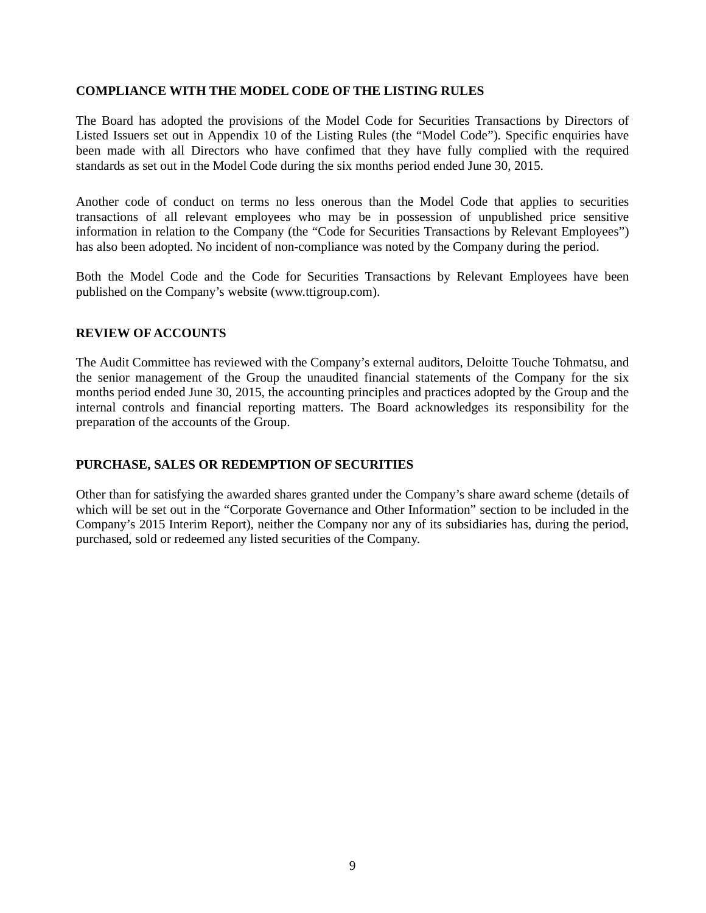## **COMPLIANCE WITH THE MODEL CODE OF THE LISTING RULES**

The Board has adopted the provisions of the Model Code for Securities Transactions by Directors of Listed Issuers set out in Appendix 10 of the Listing Rules (the "Model Code"). Specific enquiries have been made with all Directors who have confimed that they have fully complied with the required standards as set out in the Model Code during the six months period ended June 30, 2015.

Another code of conduct on terms no less onerous than the Model Code that applies to securities transactions of all relevant employees who may be in possession of unpublished price sensitive information in relation to the Company (the "Code for Securities Transactions by Relevant Employees") has also been adopted. No incident of non-compliance was noted by the Company during the period.

Both the Model Code and the Code for Securities Transactions by Relevant Employees have been published on the Company's website (www.ttigroup.com).

## **REVIEW OF ACCOUNTS**

The Audit Committee has reviewed with the Company's external auditors, Deloitte Touche Tohmatsu, and the senior management of the Group the unaudited financial statements of the Company for the six months period ended June 30, 2015, the accounting principles and practices adopted by the Group and the internal controls and financial reporting matters. The Board acknowledges its responsibility for the preparation of the accounts of the Group.

## **PURCHASE, SALES OR REDEMPTION OF SECURITIES**

Other than for satisfying the awarded shares granted under the Company's share award scheme (details of which will be set out in the "Corporate Governance and Other Information" section to be included in the Company's 2015 Interim Report), neither the Company nor any of its subsidiaries has, during the period, purchased, sold or redeemed any listed securities of the Company.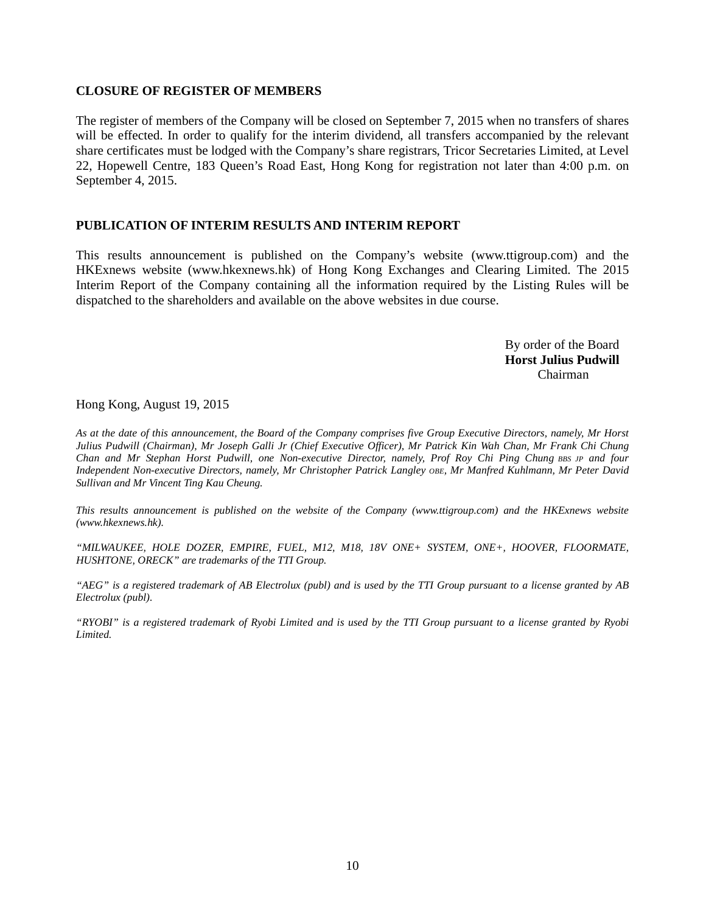#### **CLOSURE OF REGISTER OF MEMBERS**

The register of members of the Company will be closed on September 7, 2015 when no transfers of shares will be effected. In order to qualify for the interim dividend, all transfers accompanied by the relevant share certificates must be lodged with the Company's share registrars, Tricor Secretaries Limited, at Level 22, Hopewell Centre, 183 Queen's Road East, Hong Kong for registration not later than 4:00 p.m. on September 4, 2015.

#### **PUBLICATION OF INTERIM RESULTS AND INTERIM REPORT**

This results announcement is published on the Company's website (www.ttigroup.com) and the HKExnews website (www.hkexnews.hk) of Hong Kong Exchanges and Clearing Limited. The 2015 Interim Report of the Company containing all the information required by the Listing Rules will be dispatched to the shareholders and available on the above websites in due course.

> By order of the Board **Horst Julius Pudwill**  Chairman

Hong Kong, August 19, 2015

*As at the date of this announcement, the Board of the Company comprises five Group Executive Directors, namely, Mr Horst Julius Pudwill (Chairman), Mr Joseph Galli Jr (Chief Executive Officer), Mr Patrick Kin Wah Chan, Mr Frank Chi Chung Chan and Mr Stephan Horst Pudwill, one Non-executive Director, namely, Prof Roy Chi Ping Chung BBS JP and four Independent Non-executive Directors, namely, Mr Christopher Patrick Langley OBE, Mr Manfred Kuhlmann, Mr Peter David Sullivan and Mr Vincent Ting Kau Cheung.* 

*This results announcement is published on the website of the Company (www.ttigroup.com) and the HKExnews website (www.hkexnews.hk).* 

*"MILWAUKEE, HOLE DOZER, EMPIRE, FUEL, M12, M18, 18V ONE+ SYSTEM, ONE+, HOOVER, FLOORMATE, HUSHTONE, ORECK" are trademarks of the TTI Group.* 

*"AEG" is a registered trademark of AB Electrolux (publ) and is used by the TTI Group pursuant to a license granted by AB Electrolux (publ).* 

*"RYOBI" is a registered trademark of Ryobi Limited and is used by the TTI Group pursuant to a license granted by Ryobi Limited.*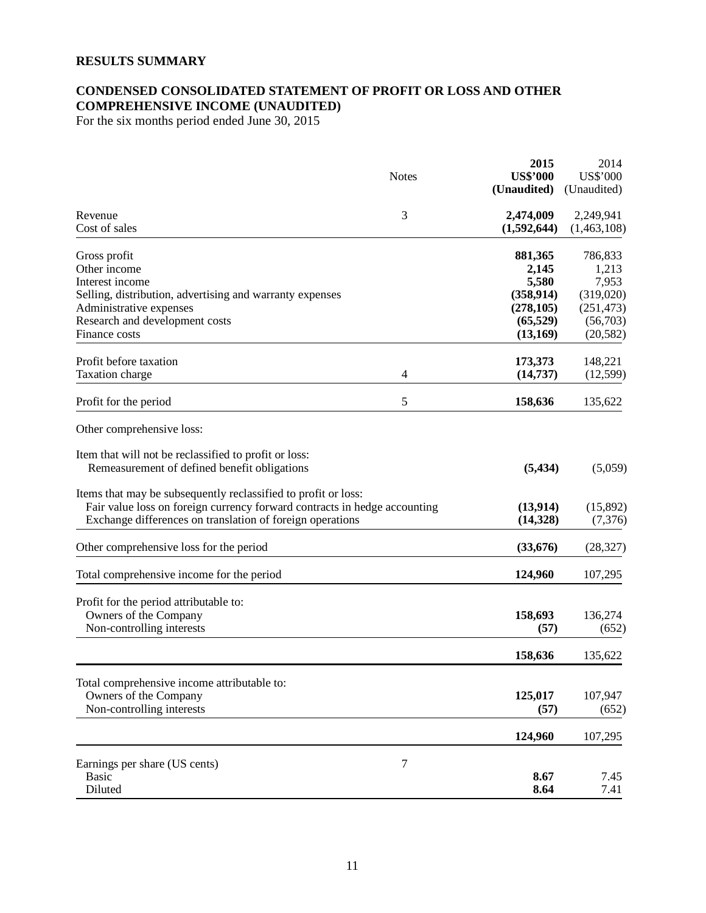## **RESULTS SUMMARY**

# **CONDENSED CONSOLIDATED STATEMENT OF PROFIT OR LOSS AND OTHER COMPREHENSIVE INCOME (UNAUDITED)**

For the six months period ended June 30, 2015

|                                                                                                                                                                                                          | <b>Notes</b> | 2015<br><b>US\$'000</b><br>(Unaudited) | 2014<br><b>US\$'000</b><br>(Unaudited) |
|----------------------------------------------------------------------------------------------------------------------------------------------------------------------------------------------------------|--------------|----------------------------------------|----------------------------------------|
| Revenue<br>Cost of sales                                                                                                                                                                                 | 3            | 2,474,009<br>(1,592,644)               | 2,249,941<br>(1,463,108)               |
| Gross profit                                                                                                                                                                                             |              | 881,365                                | 786,833                                |
| Other income                                                                                                                                                                                             |              | 2,145                                  | 1,213                                  |
| Interest income                                                                                                                                                                                          |              | 5,580                                  | 7,953                                  |
| Selling, distribution, advertising and warranty expenses                                                                                                                                                 |              | (358, 914)                             | (319,020)                              |
| Administrative expenses                                                                                                                                                                                  |              | (278, 105)                             | (251, 473)                             |
| Research and development costs                                                                                                                                                                           |              | (65, 529)                              | (56,703)                               |
| Finance costs                                                                                                                                                                                            |              | (13,169)                               | (20, 582)                              |
| Profit before taxation                                                                                                                                                                                   |              | 173,373                                | 148,221                                |
| Taxation charge                                                                                                                                                                                          | 4            | (14, 737)                              | (12, 599)                              |
| Profit for the period                                                                                                                                                                                    | 5            | 158,636                                | 135,622                                |
| Other comprehensive loss:                                                                                                                                                                                |              |                                        |                                        |
| Item that will not be reclassified to profit or loss:<br>Remeasurement of defined benefit obligations                                                                                                    |              | (5, 434)                               | (5,059)                                |
| Items that may be subsequently reclassified to profit or loss:<br>Fair value loss on foreign currency forward contracts in hedge accounting<br>Exchange differences on translation of foreign operations |              | (13, 914)<br>(14, 328)                 | (15,892)<br>(7,376)                    |
| Other comprehensive loss for the period                                                                                                                                                                  |              | (33, 676)                              | (28, 327)                              |
| Total comprehensive income for the period                                                                                                                                                                |              | 124,960                                | 107,295                                |
| Profit for the period attributable to:                                                                                                                                                                   |              |                                        |                                        |
| Owners of the Company                                                                                                                                                                                    |              | 158,693                                | 136,274                                |
| Non-controlling interests                                                                                                                                                                                |              | (57)                                   | (652)                                  |
|                                                                                                                                                                                                          |              | 158,636                                | 135,622                                |
| Total comprehensive income attributable to:                                                                                                                                                              |              |                                        |                                        |
| Owners of the Company                                                                                                                                                                                    |              | 125,017                                | 107,947                                |
| Non-controlling interests                                                                                                                                                                                |              | (57)                                   | (652)                                  |
|                                                                                                                                                                                                          |              | 124,960                                | 107,295                                |
| Earnings per share (US cents)                                                                                                                                                                            | $\tau$       |                                        |                                        |
| <b>Basic</b>                                                                                                                                                                                             |              | 8.67                                   | 7.45                                   |
| Diluted                                                                                                                                                                                                  |              | 8.64                                   | 7.41                                   |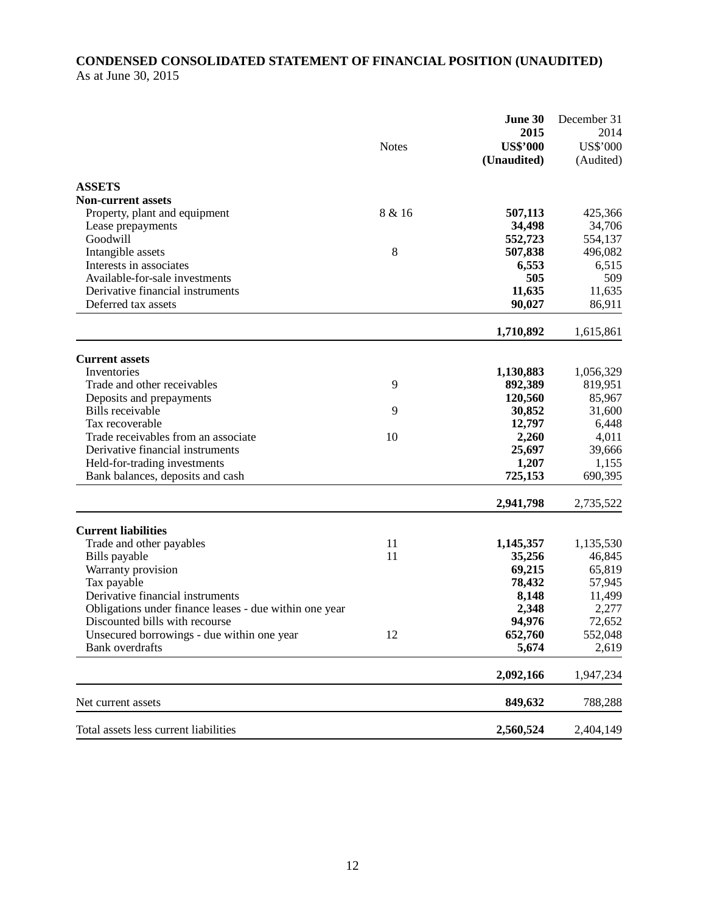# **CONDENSED CONSOLIDATED STATEMENT OF FINANCIAL POSITION (UNAUDITED)**  As at June 30, 2015

|                                                        | <b>Notes</b> | June 30<br>2015<br><b>US\$'000</b><br>(Unaudited) | December 31<br>2014<br><b>US\$'000</b><br>(Audited) |
|--------------------------------------------------------|--------------|---------------------------------------------------|-----------------------------------------------------|
| <b>ASSETS</b>                                          |              |                                                   |                                                     |
| <b>Non-current assets</b>                              |              |                                                   |                                                     |
| Property, plant and equipment                          | 8 & 16       | 507,113                                           | 425,366                                             |
| Lease prepayments                                      |              | 34,498                                            | 34,706                                              |
| Goodwill                                               |              | 552,723                                           | 554,137                                             |
| Intangible assets                                      | 8            | 507,838                                           | 496,082                                             |
| Interests in associates                                |              | 6,553                                             | 6,515                                               |
| Available-for-sale investments                         |              | 505                                               | 509                                                 |
| Derivative financial instruments                       |              | 11,635                                            | 11,635                                              |
| Deferred tax assets                                    |              | 90,027                                            | 86,911                                              |
|                                                        |              | 1,710,892                                         | 1,615,861                                           |
| <b>Current assets</b>                                  |              |                                                   |                                                     |
| Inventories                                            |              | 1,130,883                                         | 1,056,329                                           |
| Trade and other receivables                            | 9            | 892,389                                           | 819,951                                             |
| Deposits and prepayments                               |              | 120,560                                           | 85,967                                              |
| Bills receivable                                       | 9            | 30,852                                            | 31,600                                              |
| Tax recoverable                                        |              | 12,797                                            | 6,448                                               |
| Trade receivables from an associate                    | 10           | 2,260                                             | 4,011                                               |
| Derivative financial instruments                       |              | 25,697                                            | 39,666                                              |
| Held-for-trading investments                           |              | 1,207                                             | 1,155                                               |
| Bank balances, deposits and cash                       |              | 725,153                                           | 690,395                                             |
|                                                        |              | 2,941,798                                         | 2,735,522                                           |
| <b>Current liabilities</b>                             |              |                                                   |                                                     |
| Trade and other payables                               | 11           | 1,145,357                                         | 1,135,530                                           |
| Bills payable                                          | 11           | 35,256                                            | 46,845                                              |
| Warranty provision                                     |              | 69,215                                            | 65,819                                              |
| Tax payable                                            |              | 78,432                                            | 57,945                                              |
| Derivative financial instruments                       |              | 8,148                                             | 11,499                                              |
| Obligations under finance leases - due within one year |              | 2,348                                             | 2,277                                               |
| Discounted bills with recourse                         |              | 94,976                                            | 72,652                                              |
| Unsecured borrowings - due within one year             | 12           | 652,760                                           | 552,048                                             |
| <b>Bank</b> overdrafts                                 |              | 5,674                                             | 2,619                                               |
|                                                        |              | 2,092,166                                         | 1,947,234                                           |
| Net current assets                                     |              | 849,632                                           | 788,288                                             |
| Total assets less current liabilities                  |              | 2,560,524                                         | 2,404,149                                           |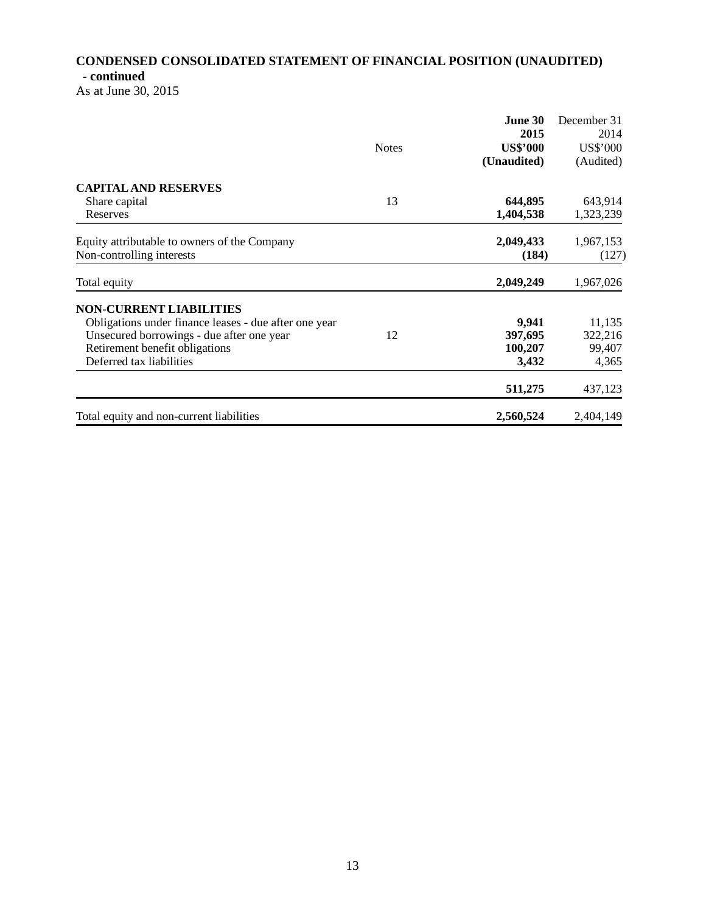# **CONDENSED CONSOLIDATED STATEMENT OF FINANCIAL POSITION (UNAUDITED) - continued**

As at June 30, 2015

|                                                       |              | June 30         | December 31     |
|-------------------------------------------------------|--------------|-----------------|-----------------|
|                                                       |              | 2015            | 2014            |
|                                                       | <b>Notes</b> | <b>US\$'000</b> | <b>US\$'000</b> |
|                                                       |              | (Unaudited)     | (Audited)       |
| <b>CAPITAL AND RESERVES</b>                           |              |                 |                 |
| Share capital                                         | 13           | 644,895         | 643,914         |
| Reserves                                              |              | 1,404,538       | 1,323,239       |
| Equity attributable to owners of the Company          |              | 2,049,433       | 1,967,153       |
| Non-controlling interests                             |              | (184)           | (127)           |
| Total equity                                          |              | 2,049,249       | 1,967,026       |
| <b>NON-CURRENT LIABILITIES</b>                        |              |                 |                 |
| Obligations under finance leases - due after one year |              | 9,941           | 11,135          |
| Unsecured borrowings - due after one year             | 12           | 397,695         | 322,216         |
| Retirement benefit obligations                        |              | 100,207         | 99,407          |
| Deferred tax liabilities                              |              | 3,432           | 4,365           |
|                                                       |              | 511,275         | 437,123         |
| Total equity and non-current liabilities              |              | 2,560,524       | 2,404,149       |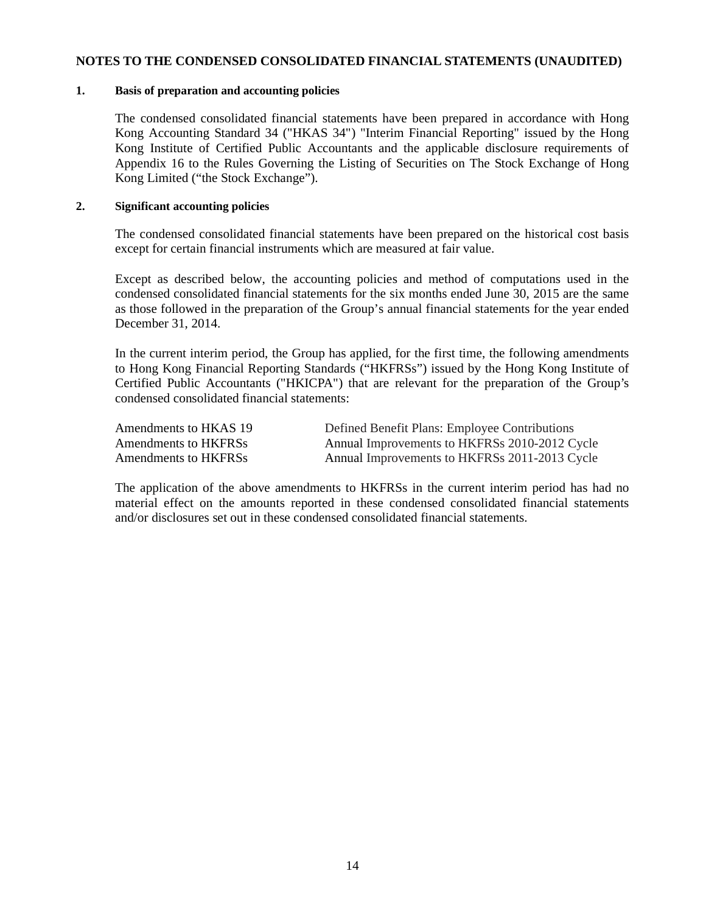#### **NOTES TO THE CONDENSED CONSOLIDATED FINANCIAL STATEMENTS (UNAUDITED)**

#### **1. Basis of preparation and accounting policies**

The condensed consolidated financial statements have been prepared in accordance with Hong Kong Accounting Standard 34 ("HKAS 34") "Interim Financial Reporting" issued by the Hong Kong Institute of Certified Public Accountants and the applicable disclosure requirements of Appendix 16 to the Rules Governing the Listing of Securities on The Stock Exchange of Hong Kong Limited ("the Stock Exchange").

## **2. Significant accounting policies**

The condensed consolidated financial statements have been prepared on the historical cost basis except for certain financial instruments which are measured at fair value.

Except as described below, the accounting policies and method of computations used in the condensed consolidated financial statements for the six months ended June 30, 2015 are the same as those followed in the preparation of the Group's annual financial statements for the year ended December 31, 2014.

In the current interim period, the Group has applied, for the first time, the following amendments to Hong Kong Financial Reporting Standards ("HKFRSs") issued by the Hong Kong Institute of Certified Public Accountants ("HKICPA") that are relevant for the preparation of the Group's condensed consolidated financial statements:

 Amendments to HKAS 19 Defined Benefit Plans: Employee Contributions Amendments to HKFRSs Annual Improvements to HKFRSs 2010-2012 Cycle Amendments to HKFRSs Annual Improvements to HKFRSs 2011-2013 Cycle

The application of the above amendments to HKFRSs in the current interim period has had no material effect on the amounts reported in these condensed consolidated financial statements and/or disclosures set out in these condensed consolidated financial statements.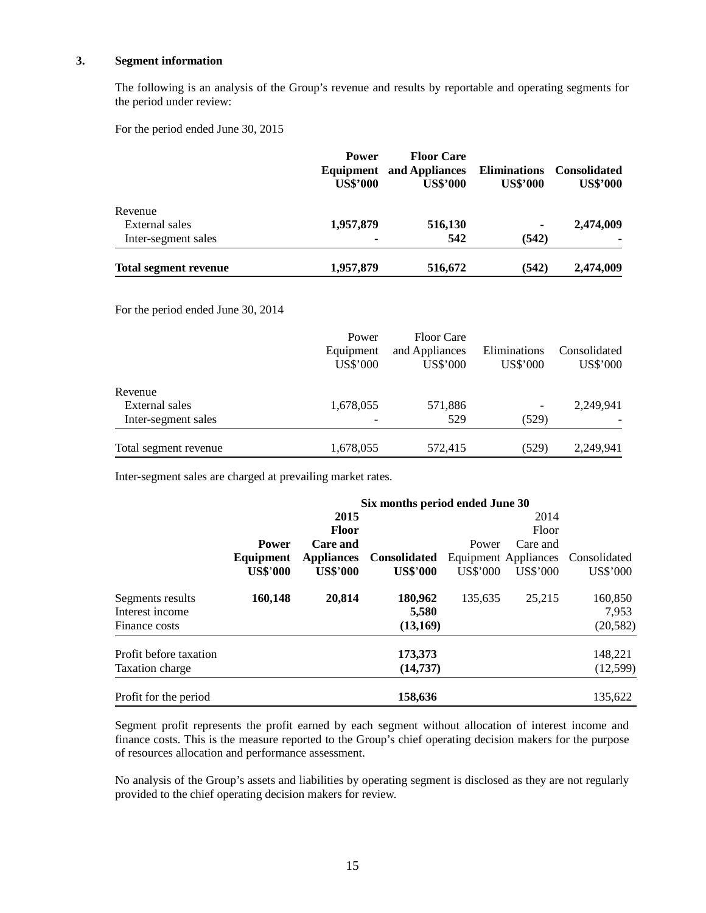#### **3. Segment information**

The following is an analysis of the Group's revenue and results by reportable and operating segments for the period under review:

For the period ended June 30, 2015

|                              | <b>Power</b><br>Equipment<br><b>US\$'000</b> | <b>Floor Care</b><br>and Appliances<br><b>US\$'000</b> | <b>Eliminations</b><br><b>US\$'000</b> | <b>Consolidated</b><br><b>US\$'000</b> |
|------------------------------|----------------------------------------------|--------------------------------------------------------|----------------------------------------|----------------------------------------|
| Revenue                      |                                              |                                                        |                                        |                                        |
| External sales               | 1,957,879                                    | 516,130                                                | ۰                                      | 2,474,009                              |
| Inter-segment sales          | ۰                                            | 542                                                    | (542)                                  |                                        |
| <b>Total segment revenue</b> | 1,957,879                                    | 516,672                                                | (542)                                  | 2,474,009                              |

For the period ended June 30, 2014

|                       | Power<br>Equipment<br>US\$'000 | <b>Floor Care</b><br>and Appliances<br><b>US\$'000</b> | Eliminations<br>US\$'000 | Consolidated<br><b>US\$'000</b> |
|-----------------------|--------------------------------|--------------------------------------------------------|--------------------------|---------------------------------|
| Revenue               |                                |                                                        |                          |                                 |
| External sales        | 1,678,055                      | 571,886                                                | $\overline{\phantom{a}}$ | 2,249,941                       |
| Inter-segment sales   |                                | 529                                                    | (529)                    |                                 |
| Total segment revenue | 1,678,055                      | 572,415                                                | (529)                    | 2,249,941                       |

Inter-segment sales are charged at prevailing market rates.

|                        | Six months period ended June 30 |                   |                     |          |                      |              |
|------------------------|---------------------------------|-------------------|---------------------|----------|----------------------|--------------|
|                        |                                 | 2015              |                     |          | 2014                 |              |
|                        |                                 | <b>Floor</b>      |                     |          | Floor                |              |
|                        | <b>Power</b>                    | Care and          |                     | Power    | Care and             |              |
|                        | Equipment                       | <b>Appliances</b> | <b>Consolidated</b> |          | Equipment Appliances | Consolidated |
|                        | <b>US\$'000</b>                 | <b>US\$'000</b>   | <b>US\$'000</b>     | US\$'000 | US\$'000             | US\$'000     |
| Segments results       | 160,148                         | 20,814            | 180,962             | 135,635  | 25.215               | 160,850      |
| Interest income        |                                 |                   | 5,580               |          |                      | 7,953        |
| Finance costs          |                                 |                   | (13,169)            |          |                      | (20, 582)    |
| Profit before taxation |                                 |                   | 173,373             |          |                      | 148,221      |
| <b>Taxation charge</b> |                                 |                   | (14,737)            |          |                      | (12,599)     |
| Profit for the period  |                                 |                   | 158,636             |          |                      | 135,622      |

Segment profit represents the profit earned by each segment without allocation of interest income and finance costs. This is the measure reported to the Group's chief operating decision makers for the purpose of resources allocation and performance assessment.

 No analysis of the Group's assets and liabilities by operating segment is disclosed as they are not regularly provided to the chief operating decision makers for review.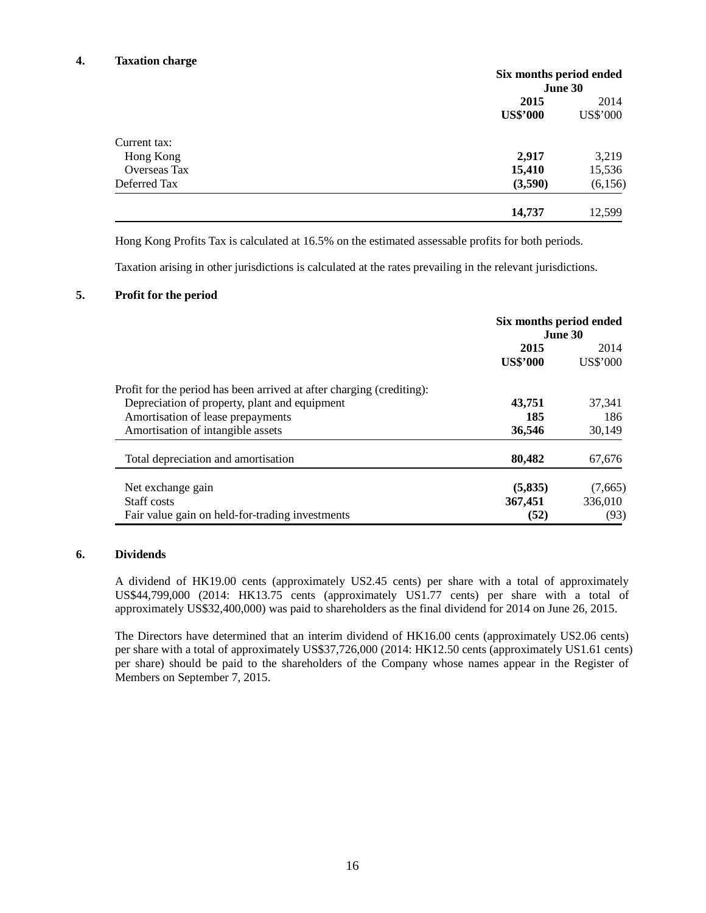#### **4. Taxation charge**

|                     | Six months period ended |          |
|---------------------|-------------------------|----------|
|                     |                         | June 30  |
|                     | 2015                    | 2014     |
|                     | <b>US\$'000</b>         | US\$'000 |
| Current tax:        |                         |          |
| Hong Kong           | 2,917                   | 3,219    |
| <b>Overseas Tax</b> | 15,410                  | 15,536   |
| Deferred Tax        | (3,590)                 | (6,156)  |
|                     | 14,737                  | 12,599   |

Hong Kong Profits Tax is calculated at 16.5% on the estimated assessable profits for both periods.

Taxation arising in other jurisdictions is calculated at the rates prevailing in the relevant jurisdictions.

#### **5. Profit for the period**

|                                                                       | Six months period ended<br>June 30 |          |
|-----------------------------------------------------------------------|------------------------------------|----------|
|                                                                       | 2015                               | 2014     |
|                                                                       | <b>US\$'000</b>                    | US\$'000 |
| Profit for the period has been arrived at after charging (crediting): |                                    |          |
| Depreciation of property, plant and equipment                         | 43,751                             | 37,341   |
| Amortisation of lease prepayments                                     | 185                                | 186      |
| Amortisation of intangible assets                                     | 36,546                             | 30,149   |
| Total depreciation and amortisation                                   | 80,482                             | 67,676   |
| Net exchange gain                                                     | (5,835)                            | (7,665)  |
| Staff costs                                                           | 367,451                            | 336,010  |
| Fair value gain on held-for-trading investments                       | (52)                               | (93)     |

#### **6. Dividends**

A dividend of HK19.00 cents (approximately US2.45 cents) per share with a total of approximately US\$44,799,000 (2014: HK13.75 cents (approximately US1.77 cents) per share with a total of approximately US\$32,400,000) was paid to shareholders as the final dividend for 2014 on June 26, 2015.

The Directors have determined that an interim dividend of HK16.00 cents (approximately US2.06 cents) per share with a total of approximately US\$37,726,000 (2014: HK12.50 cents (approximately US1.61 cents) per share) should be paid to the shareholders of the Company whose names appear in the Register of Members on September 7, 2015.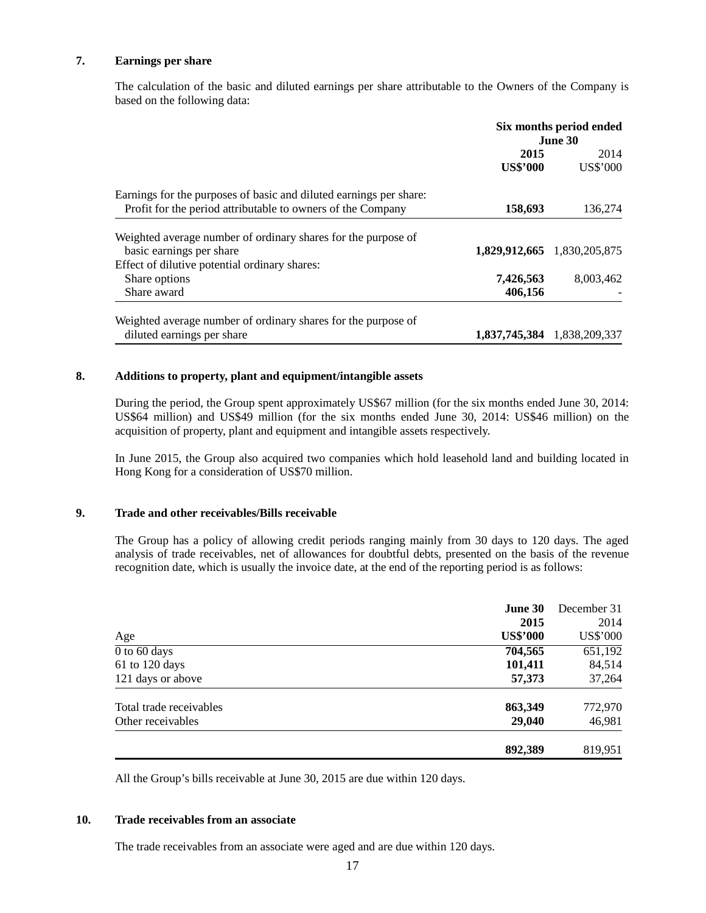#### **7. Earnings per share**

The calculation of the basic and diluted earnings per share attributable to the Owners of the Company is based on the following data:

|                                                                    | Six months period ended<br>June 30 |                             |
|--------------------------------------------------------------------|------------------------------------|-----------------------------|
|                                                                    | 2015                               | 2014                        |
|                                                                    | <b>US\$'000</b>                    | US\$'000                    |
| Earnings for the purposes of basic and diluted earnings per share: |                                    |                             |
| Profit for the period attributable to owners of the Company        | 158,693                            | 136,274                     |
| Weighted average number of ordinary shares for the purpose of      |                                    |                             |
| basic earnings per share                                           |                                    | 1,829,912,665 1,830,205,875 |
| Effect of dilutive potential ordinary shares:                      |                                    |                             |
| Share options                                                      | 7,426,563                          | 8,003,462                   |
| Share award                                                        | 406,156                            |                             |
| Weighted average number of ordinary shares for the purpose of      |                                    |                             |
| diluted earnings per share                                         |                                    | 1,837,745,384 1,838,209,337 |

## **8. Additions to property, plant and equipment/intangible assets**

During the period, the Group spent approximately US\$67 million (for the six months ended June 30, 2014: US\$64 million) and US\$49 million (for the six months ended June 30, 2014: US\$46 million) on the acquisition of property, plant and equipment and intangible assets respectively.

In June 2015, the Group also acquired two companies which hold leasehold land and building located in Hong Kong for a consideration of US\$70 million.

#### **9. Trade and other receivables/Bills receivable**

The Group has a policy of allowing credit periods ranging mainly from 30 days to 120 days. The aged analysis of trade receivables, net of allowances for doubtful debts, presented on the basis of the revenue recognition date, which is usually the invoice date, at the end of the reporting period is as follows:

|                         | <b>June 30</b>  | December 31 |  |
|-------------------------|-----------------|-------------|--|
|                         | 2015            | 2014        |  |
| Age                     | <b>US\$'000</b> | US\$'000    |  |
| $0$ to 60 days          | 704,565         | 651,192     |  |
| 61 to 120 days          | 101,411         | 84,514      |  |
| 121 days or above       | 57,373          | 37,264      |  |
| Total trade receivables | 863,349         | 772,970     |  |
| Other receivables       | 29,040          | 46,981      |  |
|                         | 892,389         | 819,951     |  |

All the Group's bills receivable at June 30, 2015 are due within 120 days.

#### **10. Trade receivables from an associate**

The trade receivables from an associate were aged and are due within 120 days.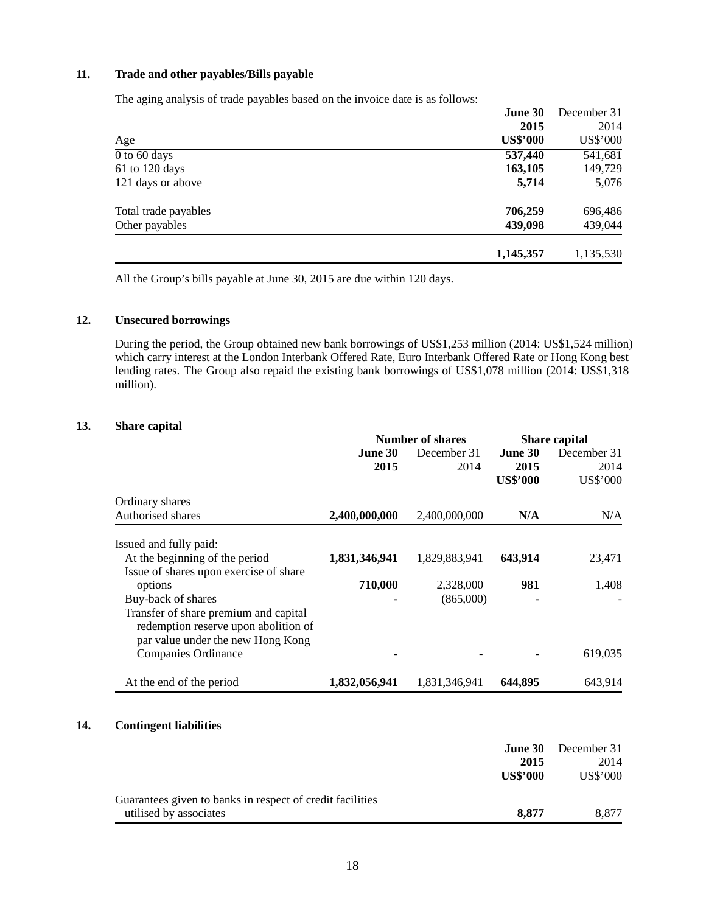#### **11. Trade and other payables/Bills payable**

The aging analysis of trade payables based on the invoice date is as follows:

|                           | <b>June 30</b>  | December 31 |  |
|---------------------------|-----------------|-------------|--|
|                           | 2015            | 2014        |  |
| Age                       | <b>US\$'000</b> | US\$'000    |  |
| $\overline{0}$ to 60 days | 537,440         | 541,681     |  |
| 61 to 120 days            | 163,105         | 149,729     |  |
| 121 days or above         | 5,714           | 5,076       |  |
| Total trade payables      | 706,259         | 696,486     |  |
| Other payables            | 439,098         | 439,044     |  |
|                           | 1,145,357       | 1,135,530   |  |

All the Group's bills payable at June 30, 2015 are due within 120 days.

#### **12. Unsecured borrowings**

During the period, the Group obtained new bank borrowings of US\$1,253 million (2014: US\$1,524 million) which carry interest at the London Interbank Offered Rate, Euro Interbank Offered Rate or Hong Kong best lending rates. The Group also repaid the existing bank borrowings of US\$1,078 million (2014: US\$1,318 million).

#### **13. Share capital**

|                                                                                                                    | <b>Number of shares</b> |                     | <b>Share capital</b> |                     |
|--------------------------------------------------------------------------------------------------------------------|-------------------------|---------------------|----------------------|---------------------|
|                                                                                                                    | June 30<br>2015         | December 31<br>2014 | June 30<br>2015      | December 31<br>2014 |
| Ordinary shares                                                                                                    |                         |                     | <b>US\$'000</b>      | US\$'000            |
| Authorised shares                                                                                                  | 2,400,000,000           | 2,400,000,000       | N/A                  | N/A                 |
| Issued and fully paid:                                                                                             |                         |                     |                      |                     |
| At the beginning of the period<br>Issue of shares upon exercise of share                                           | 1,831,346,941           | 1,829,883,941       | 643,914              | 23,471              |
| options                                                                                                            | 710,000                 | 2,328,000           | 981                  | 1,408               |
| Buy-back of shares                                                                                                 |                         | (865,000)           |                      |                     |
| Transfer of share premium and capital<br>redemption reserve upon abolition of<br>par value under the new Hong Kong |                         |                     |                      |                     |
| <b>Companies Ordinance</b>                                                                                         |                         |                     |                      | 619,035             |
| At the end of the period                                                                                           | 1,832,056,941           | 1,831,346,941       | 644,895              | 643,914             |

#### **14. Contingent liabilities**

|                                                           | <b>June 30</b>  | December 31 |
|-----------------------------------------------------------|-----------------|-------------|
|                                                           | 2015            | 2014        |
|                                                           | <b>US\$'000</b> | US\$'000    |
| Guarantees given to banks in respect of credit facilities |                 |             |
| utilised by associates                                    | 8.877           | 8.877       |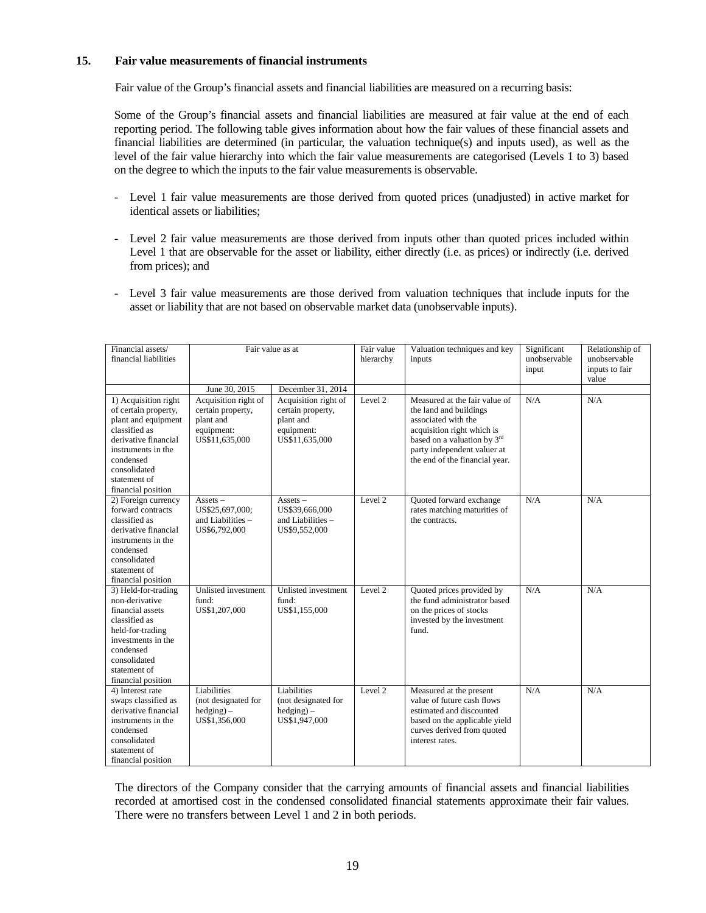#### **15. Fair value measurements of financial instruments**

Fair value of the Group's financial assets and financial liabilities are measured on a recurring basis:

Some of the Group's financial assets and financial liabilities are measured at fair value at the end of each reporting period. The following table gives information about how the fair values of these financial assets and financial liabilities are determined (in particular, the valuation technique(s) and inputs used), as well as the level of the fair value hierarchy into which the fair value measurements are categorised (Levels 1 to 3) based on the degree to which the inputs to the fair value measurements is observable.

- Level 1 fair value measurements are those derived from quoted prices (unadjusted) in active market for identical assets or liabilities;
- Level 2 fair value measurements are those derived from inputs other than quoted prices included within Level 1 that are observable for the asset or liability, either directly (i.e. as prices) or indirectly (i.e. derived from prices); and
- Level 3 fair value measurements are those derived from valuation techniques that include inputs for the asset or liability that are not based on observable market data (unobservable inputs).

| Financial assets/<br>financial liabilities                                                                                                                                                            | Fair value as at                                                                       |                                                                                        | Fair value<br>hierarchy | Valuation techniques and key<br>inputs                                                                                                                                                                       | Significant<br>unobservable<br>input | Relationship of<br>unobservable<br>inputs to fair<br>value |
|-------------------------------------------------------------------------------------------------------------------------------------------------------------------------------------------------------|----------------------------------------------------------------------------------------|----------------------------------------------------------------------------------------|-------------------------|--------------------------------------------------------------------------------------------------------------------------------------------------------------------------------------------------------------|--------------------------------------|------------------------------------------------------------|
|                                                                                                                                                                                                       | June 30, 2015                                                                          | December 31, 2014                                                                      |                         |                                                                                                                                                                                                              |                                      |                                                            |
| 1) Acquisition right<br>of certain property,<br>plant and equipment<br>classified as<br>derivative financial<br>instruments in the<br>condensed<br>consolidated<br>statement of<br>financial position | Acquisition right of<br>certain property,<br>plant and<br>equipment:<br>US\$11,635,000 | Acquisition right of<br>certain property,<br>plant and<br>equipment:<br>US\$11,635,000 | Level 2                 | Measured at the fair value of<br>the land and buildings<br>associated with the<br>acquisition right which is<br>based on a valuation by 3rd<br>party independent valuer at<br>the end of the financial year. | N/A                                  | N/A                                                        |
| 2) Foreign currency<br>forward contracts<br>classified as<br>derivative financial<br>instruments in the<br>condensed<br>consolidated<br>statement of<br>financial position                            | $Assets -$<br>US\$25,697,000;<br>and Liabilities -<br>US\$6,792,000                    | $Assets -$<br>US\$39,666,000<br>and Liabilities -<br>US\$9,552,000                     | Level 2                 | Quoted forward exchange<br>rates matching maturities of<br>the contracts.                                                                                                                                    | N/A                                  | N/A                                                        |
| 3) Held-for-trading<br>non-derivative<br>financial assets<br>classified as<br>held-for-trading<br>investments in the<br>condensed<br>consolidated<br>statement of<br>financial position               | Unlisted investment<br>fund:<br>US\$1,207,000                                          | Unlisted investment<br>fund:<br>US\$1,155,000                                          | Level 2                 | Quoted prices provided by<br>the fund administrator based<br>on the prices of stocks<br>invested by the investment<br>fund.                                                                                  | N/A                                  | N/A                                                        |
| 4) Interest rate<br>swaps classified as<br>derivative financial<br>instruments in the<br>condensed<br>consolidated<br>statement of<br>financial position                                              | Liabilities<br>(not designated for<br>$hedging$ –<br>US\$1,356,000                     | Liabilities<br>(not designated for<br>$hedging$ –<br>US\$1,947,000                     | Level 2                 | Measured at the present<br>value of future cash flows<br>estimated and discounted<br>based on the applicable yield<br>curves derived from quoted<br>interest rates.                                          | N/A                                  | N/A                                                        |

The directors of the Company consider that the carrying amounts of financial assets and financial liabilities recorded at amortised cost in the condensed consolidated financial statements approximate their fair values. There were no transfers between Level 1 and 2 in both periods.